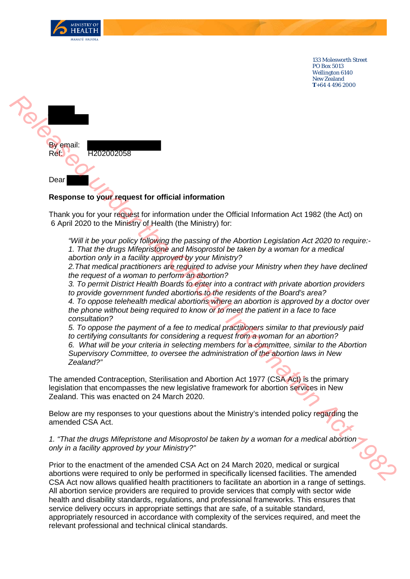

133 Molesworth Street PO Box 5013 Wellington 6140 New Zealand **T**+64 4 496 2000



## **Response to your request for official information**

Thank you for your request for information under the Official Information Act 1982 (the Act) on 6 April 2020 to the Ministry of Health (the Ministry) for:

*"Will it be your policy following the passing of the Abortion Legislation Act 2020 to require:- 1. That the drugs Mifepristone and Misoprostol be taken by a woman for a medical abortion only in a facility approved by your Ministry?*

*2.That medical practitioners are required to advise your Ministry when they have declined the request of a woman to perform an abortion?*

*3. To permit District Health Boards to enter into a contract with private abortion providers to provide government funded abortions to the residents of the Board's area? 4. To oppose telehealth medical abortions where an abortion is approved by a doctor over the phone without being required to know or to meet the patient in a face to face consultation?*

*5. To oppose the payment of a fee to medical practitioners similar to that previously paid to certifying consultants for considering a request from a woman for an abortion? 6. What will be your criteria in selecting members for a committee, similar to the Abortion Supervisory Committee, to oversee the administration of the abortion laws in New Zealand?"*

The amended Contraception, Sterilisation and Abortion Act 1977 (CSA Act) is the primary legislation that encompasses the new legislative framework for abortion services in New Zealand. This was enacted on 24 March 2020.

Below are my responses to your questions about the Ministry's intended policy regarding the amended CSA Act.

*1. "That the drugs Mifepristone and Misoprostol be taken by a woman for a medical abortion only in a facility approved by your Ministry?"*

Prior to the enactment of the amended CSA Act on 24 March 2020, medical or surgical abortions were required to only be performed in specifically licensed facilities. The amended CSA Act now allows qualified health practitioners to facilitate an abortion in a range of settings. All abortion service providers are required to provide services that comply with sector wide health and disability standards, regulations, and professional frameworks. This ensures that service delivery occurs in appropriate settings that are safe, of a suitable standard, appropriately resourced in accordance with complexity of the services required, and meet the relevant professional and technical clinical standards.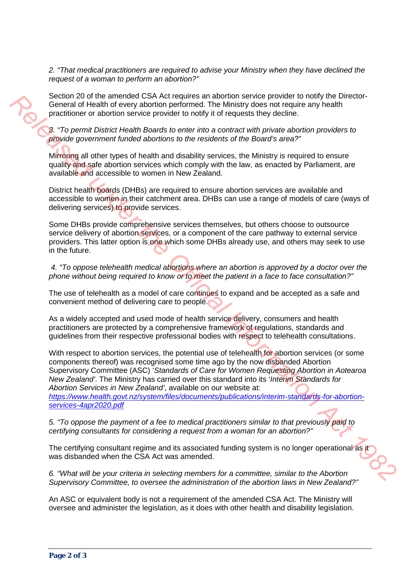*2. "That medical practitioners are required to advise your Ministry when they have declined the request of a woman to perform an abortion?"*

Section 20 of the amended CSA Act requires an abortion service provider to notify the Director-General of Health of every abortion performed. The Ministry does not require any health practitioner or abortion service provider to notify it of requests they decline.

*3. "To permit District Health Boards to enter into a contract with private abortion providers to provide government funded abortions to the residents of the Board's area?"*

Mirroring all other types of health and disability services, the Ministry is required to ensure quality and safe abortion services which comply with the law, as enacted by Parliament, are available and accessible to women in New Zealand.

District health boards (DHBs) are required to ensure abortion services are available and accessible to women in their catchment area. DHBs can use a range of models of care (ways of delivering services) to provide services.

Some DHBs provide comprehensive services themselves, but others choose to outsource service delivery of abortion services, or a component of the care pathway to external service providers. This latter option is one which some DHBs already use, and others may seek to use in the future.

*4. "To oppose telehealth medical abortions where an abortion is approved by a doctor over the phone without being required to know or to meet the patient in a face to face consultation?"*

The use of telehealth as a model of care continues to expand and be accepted as a safe and convenient method of delivering care to people.

As a widely accepted and used mode of health service delivery, consumers and health practitioners are protected by a comprehensive framework of regulations, standards and guidelines from their respective professional bodies with respect to telehealth consultations.

With respect to abortion services, the potential use of telehealth for abortion services (or some components thereof) was recognised some time ago by the now disbanded Abortion Supervisory Committee (ASC) '*Standards of Care for Women Requesting Abortion in Aotearoa New Zealand'*. The Ministry has carried over this standard into its '*Interim Standards for Abortion Services in New Zealand'*, available on our website at: *https://www.health.govt.nz/system/files/documents/publications/interim-standards-for-abortionservices-4apr2020.pdf*  Sec[on](https://www.health.govt.nz/system/files/documents/publications/interim-standards-for-abortion-services-4apr2020.pdf)d 20 of the smention CS[A](https://www.health.govt.nz/system/files/documents/publications/interim-standards-for-abortion-services-4apr2020.pdf) Act requires an about for the smear-one provide for noth the Director-<br> **Release of the official Information and the Information CSA Act was directed to the present<br>** *R.* **To permit District He** 

*5. "To oppose the payment of a fee to medical practitioners similar to that previously paid to certifying consultants for considering a request from a woman for an abortion?"*

The certifying consultant regime and its associated funding system is no longer operational as it was disbanded when the CSA Act was amended.

*6. "What will be your criteria in selecting members for a committee, similar to the Abortion Supervisory Committee, to oversee the administration of the abortion laws in New Zealand?"* 

An ASC or equivalent body is not a requirement of the amended CSA Act. The Ministry will oversee and administer the legislation, as it does with other health and disability legislation.